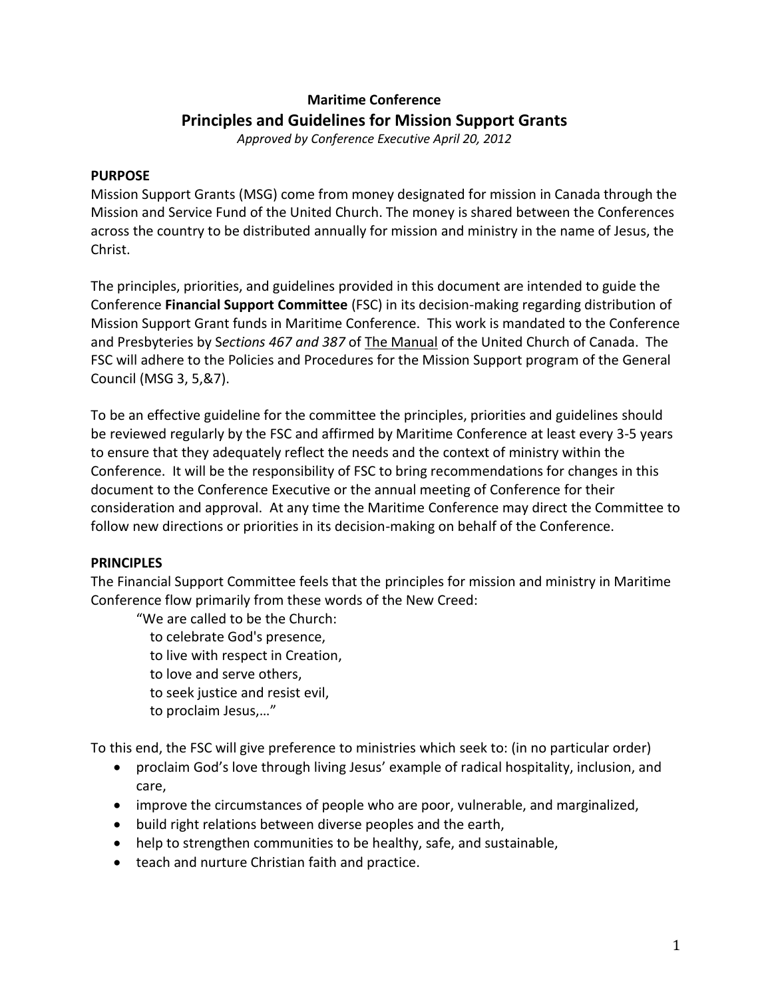# **Maritime Conference Principles and Guidelines for Mission Support Grants**

*Approved by Conference Executive April 20, 2012* 

## **PURPOSE**

Mission Support Grants (MSG) come from money designated for mission in Canada through the Mission and Service Fund of the United Church. The money is shared between the Conferences across the country to be distributed annually for mission and ministry in the name of Jesus, the Christ.

The principles, priorities, and guidelines provided in this document are intended to guide the Conference **Financial Support Committee** (FSC) in its decision-making regarding distribution of Mission Support Grant funds in Maritime Conference. This work is mandated to the Conference and Presbyteries by S*ections 467 and 387* of The Manual of the United Church of Canada. The FSC will adhere to the Policies and Procedures for the Mission Support program of the General Council (MSG 3, 5,&7).

To be an effective guideline for the committee the principles, priorities and guidelines should be reviewed regularly by the FSC and affirmed by Maritime Conference at least every 3-5 years to ensure that they adequately reflect the needs and the context of ministry within the Conference. It will be the responsibility of FSC to bring recommendations for changes in this document to the Conference Executive or the annual meeting of Conference for their consideration and approval. At any time the Maritime Conference may direct the Committee to follow new directions or priorities in its decision-making on behalf of the Conference.

# **PRINCIPLES**

The Financial Support Committee feels that the principles for mission and ministry in Maritime Conference flow primarily from these words of the New Creed:

"We are called to be the Church: to celebrate God's presence, to live with respect in Creation, to love and serve others, to seek justice and resist evil, to proclaim Jesus,…"

To this end, the FSC will give preference to ministries which seek to: (in no particular order)

- proclaim God's love through living Jesus' example of radical hospitality, inclusion, and care,
- improve the circumstances of people who are poor, vulnerable, and marginalized,
- $\bullet$  build right relations between diverse peoples and the earth,
- help to strengthen communities to be healthy, safe, and sustainable,
- teach and nurture Christian faith and practice.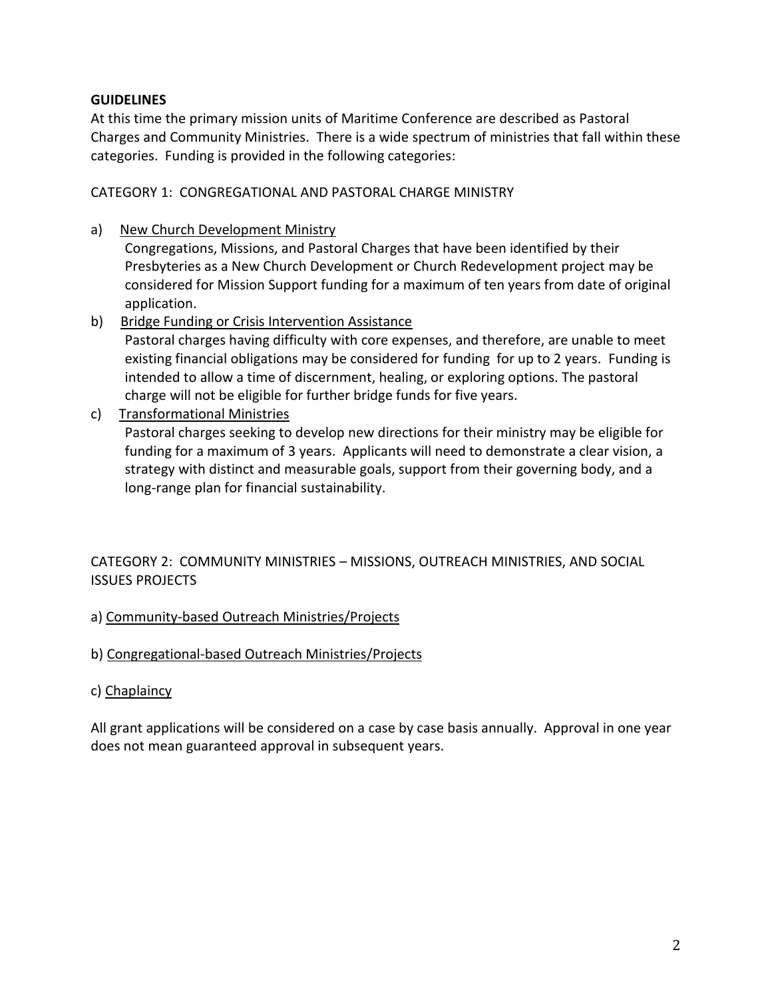# **GUIDELINES**

At this time the primary mission units of Maritime Conference are described as Pastoral Charges and Community Ministries. There is a wide spectrum of ministries that fall within these categories. Funding is provided in the following categories:

CATEGORY 1: CONGREGATIONAL AND PASTORAL CHARGE MINISTRY

a) New Church Development Ministry

Congregations, Missions, and Pastoral Charges that have been identified by their Presbyteries as a New Church Development or Church Redevelopment project may be considered for Mission Support funding for a maximum of ten years from date of original application.

- b) Bridge Funding or Crisis Intervention Assistance Pastoral charges having difficulty with core expenses, and therefore, are unable to meet existing financial obligations may be considered for funding for up to 2 years. Funding is intended to allow a time of discernment, healing, or exploring options. The pastoral charge will not be eligible for further bridge funds for five years.
- c) Transformational Ministries

Pastoral charges seeking to develop new directions for their ministry may be eligible for funding for a maximum of 3 years. Applicants will need to demonstrate a clear vision, a strategy with distinct and measurable goals, support from their governing body, and a long-range plan for financial sustainability.

CATEGORY 2: COMMUNITY MINISTRIES – MISSIONS, OUTREACH MINISTRIES, AND SOCIAL ISSUES PROJECTS

# a) Community-based Outreach Ministries/Projects

#### b) Congregational-based Outreach Ministries/Projects

c) Chaplaincy

All grant applications will be considered on a case by case basis annually. Approval in one year does not mean guaranteed approval in subsequent years.